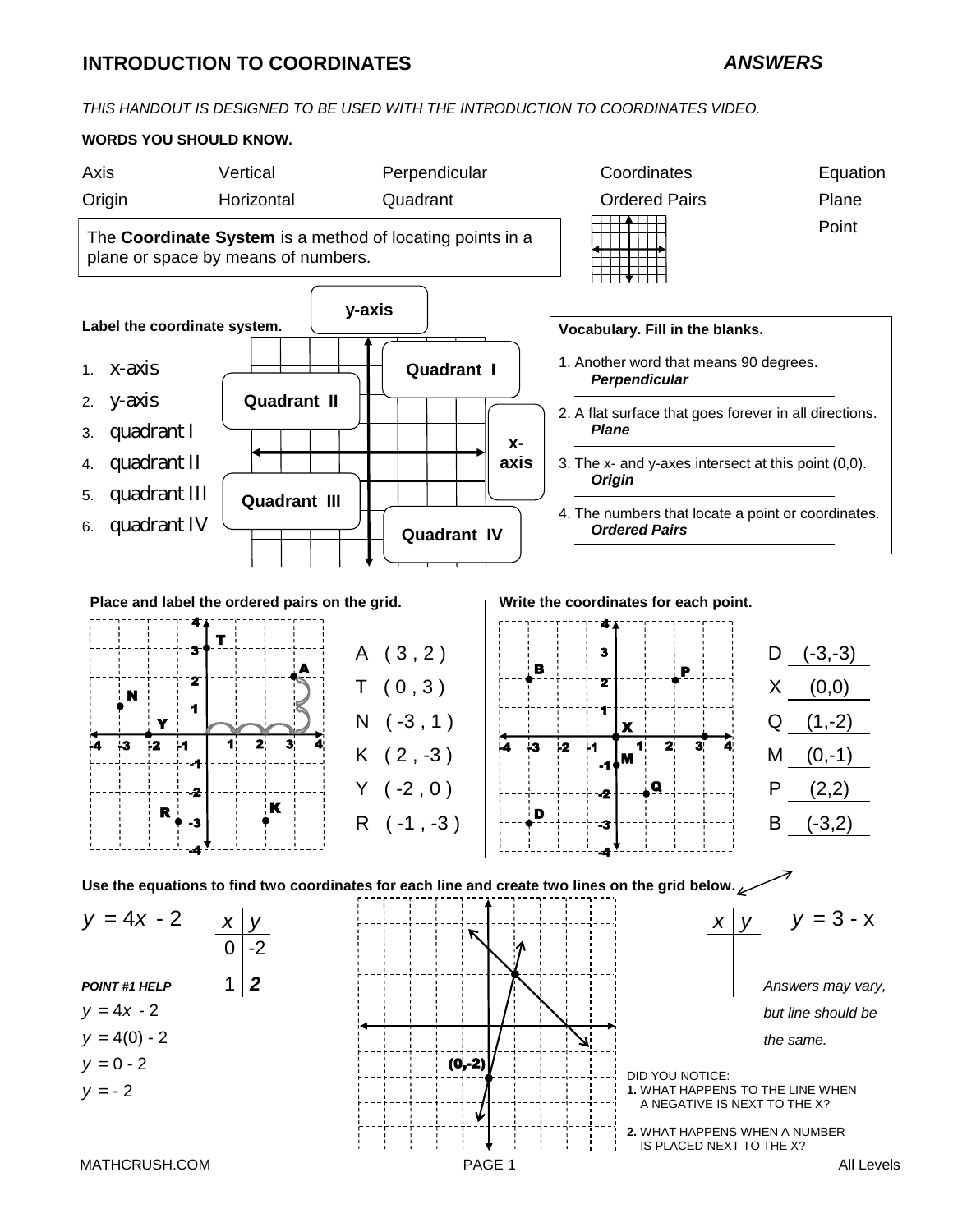## **INTRODUCTION TO COORDINATES**

#### *ANSWERS*

*THIS HANDOUT IS DESIGNED TO BE USED WITH THE INTRODUCTION TO COORDINATES VIDEO.*